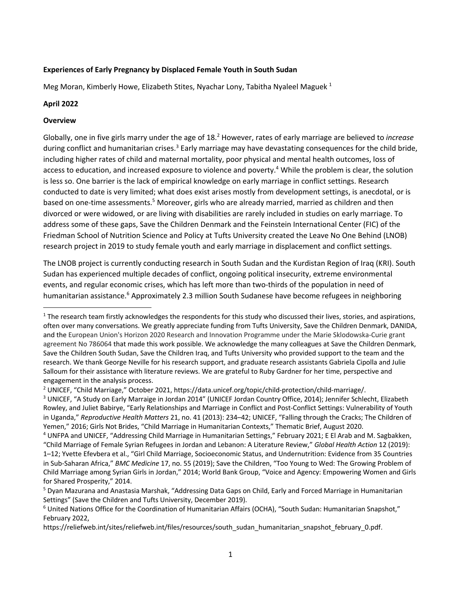## **Experiences of Early Pregnancy by Displaced Female Youth in South Sudan**

Meg Moran, Kimberly Howe, Elizabeth Stites, Nyachar Lony, Tabitha Nyaleel Maguek  $1$ 

#### **April 2022**

### **Overview**

Globally, one in five girls marry under the age of 18.2 However, rates of early marriage are believed to *increase* during conflict and humanitarian crises.<sup>3</sup> Early marriage may have devastating consequences for the child bride, including higher rates of child and maternal mortality, poor physical and mental health outcomes, loss of access to education, and increased exposure to violence and poverty.<sup>4</sup> While the problem is clear, the solution is less so. One barrier is the lack of empirical knowledge on early marriage in conflict settings. Research conducted to date is very limited; what does exist arises mostly from development settings, is anecdotal, or is based on one-time assessments.<sup>5</sup> Moreover, girls who are already married, married as children and then divorced or were widowed, or are living with disabilities are rarely included in studies on early marriage. To address some of these gaps, Save the Children Denmark and the Feinstein International Center (FIC) of the Friedman School of Nutrition Science and Policy at Tufts University created the Leave No One Behind (LNOB) research project in 2019 to study female youth and early marriage in displacement and conflict settings.

The LNOB project is currently conducting research in South Sudan and the Kurdistan Region of Iraq (KRI). South Sudan has experienced multiple decades of conflict, ongoing political insecurity, extreme environmental events, and regular economic crises, which has left more than two-thirds of the population in need of humanitarian assistance.<sup>6</sup> Approximately 2.3 million South Sudanese have become refugees in neighboring

 $1$  The research team firstly acknowledges the respondents for this study who discussed their lives, stories, and aspirations, often over many conversations. We greatly appreciate funding from Tufts University, Save the Children Denmark, DANIDA, and the European Union's Horizon 2020 Research and Innovation Programme under the Marie Sklodowska-Curie grant agreement No 786064 that made this work possible. We acknowledge the many colleagues at Save the Children Denmark, Save the Children South Sudan, Save the Children Iraq, and Tufts University who provided support to the team and the research. We thank George Neville for his research support, and graduate research assistants Gabriela Cipolla and Julie Salloum for their assistance with literature reviews. We are grateful to Ruby Gardner for her time, perspective and engagement in the analysis process.

<sup>&</sup>lt;sup>2</sup> UNICEF, "Child Marriage," October 2021, https://data.unicef.org/topic/child-protection/child-marriage/.

<sup>&</sup>lt;sup>3</sup> UNICEF, "A Study on Early Marraige in Jordan 2014" (UNICEF Jordan Country Office, 2014); Jennifer Schlecht, Elizabeth Rowley, and Juliet Babirye, "Early Relationships and Marriage in Conflict and Post-Conflict Settings: Vulnerability of Youth in Uganda," *Reproductive Health Matters* 21, no. 41 (2013): 234–42; UNICEF, "Falling through the Cracks; The Children of Yemen," 2016; Girls Not Brides, "Child Marriage in Humanitarian Contexts," Thematic Brief, August 2020.

<sup>4</sup> UNFPA and UNICEF, "Addressing Child Marriage in Humanitarian Settings," February 2021; E El Arab and M. Sagbakken, "Child Marriage of Female Syrian Refugees in Jordan and Lebanon: A Literature Review," *Global Health Action* 12 (2019): 1–12; Yvette Efevbera et al., "Girl Child Marriage, Socioeconomic Status, and Undernutrition: Evidence from 35 Countries in Sub-Saharan Africa," *BMC Medicine* 17, no. 55 (2019); Save the Children, "Too Young to Wed: The Growing Problem of Child Marriage among Syrian Girls in Jordan," 2014; World Bank Group, "Voice and Agency: Empowering Women and Girls for Shared Prosperity," 2014.

<sup>5</sup> Dyan Mazurana and Anastasia Marshak, "Addressing Data Gaps on Child, Early and Forced Marriage in Humanitarian Settings" (Save the Children and Tufts University, December 2019).

 $6$  United Nations Office for the Coordination of Humanitarian Affairs (OCHA), "South Sudan: Humanitarian Snapshot," February 2022,

https://reliefweb.int/sites/reliefweb.int/files/resources/south\_sudan\_humanitarian\_snapshot\_february\_0.pdf.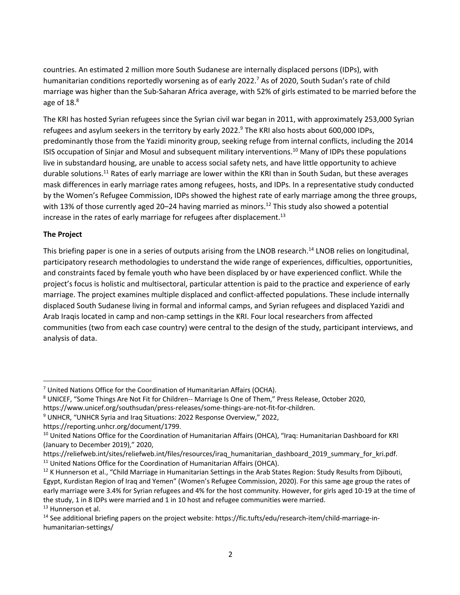countries. An estimated 2 million more South Sudanese are internally displaced persons (IDPs), with humanitarian conditions reportedly worsening as of early 2022.<sup>7</sup> As of 2020, South Sudan's rate of child marriage was higher than the Sub-Saharan Africa average, with 52% of girls estimated to be married before the age of  $18.<sup>8</sup>$ 

The KRI has hosted Syrian refugees since the Syrian civil war began in 2011, with approximately 253,000 Syrian refugees and asylum seekers in the territory by early 2022.<sup>9</sup> The KRI also hosts about 600,000 IDPs, predominantly those from the Yazidi minority group, seeking refuge from internal conflicts, including the 2014 ISIS occupation of Sinjar and Mosul and subsequent military interventions.10 Many of IDPs these populations live in substandard housing, are unable to access social safety nets, and have little opportunity to achieve durable solutions.<sup>11</sup> Rates of early marriage are lower within the KRI than in South Sudan, but these averages mask differences in early marriage rates among refugees, hosts, and IDPs. In a representative study conducted by the Women's Refugee Commission, IDPs showed the highest rate of early marriage among the three groups, with 13% of those currently aged 20–24 having married as minors.<sup>12</sup> This study also showed a potential increase in the rates of early marriage for refugees after displacement.<sup>13</sup>

# **The Project**

This briefing paper is one in a series of outputs arising from the LNOB research.<sup>14</sup> LNOB relies on longitudinal, participatory research methodologies to understand the wide range of experiences, difficulties, opportunities, and constraints faced by female youth who have been displaced by or have experienced conflict. While the project's focus is holistic and multisectoral, particular attention is paid to the practice and experience of early marriage. The project examines multiple displaced and conflict-affected populations. These include internally displaced South Sudanese living in formal and informal camps, and Syrian refugees and displaced Yazidi and Arab Iraqis located in camp and non-camp settings in the KRI. Four local researchers from affected communities (two from each case country) were central to the design of the study, participant interviews, and analysis of data.

 $7$  United Nations Office for the Coordination of Humanitarian Affairs (OCHA).

<sup>8</sup> UNICEF, "Some Things Are Not Fit for Children-- Marriage Is One of Them," Press Release, October 2020,

https://www.unicef.org/southsudan/press-releases/some-things-are-not-fit-for-children.

<sup>&</sup>lt;sup>9</sup> UNHCR, "UNHCR Syria and Iraq Situations: 2022 Response Overview," 2022,

https://reporting.unhcr.org/document/1799.

<sup>&</sup>lt;sup>10</sup> United Nations Office for the Coordination of Humanitarian Affairs (OHCA), "Iraq: Humanitarian Dashboard for KRI (January to December 2019)," 2020,

https://reliefweb.int/sites/reliefweb.int/files/resources/iraq\_humanitarian\_dashboard\_2019\_summary\_for\_kri.pdf. <sup>11</sup> United Nations Office for the Coordination of Humanitarian Affairs (OHCA).

 $12$  K Hunnerson et al., "Child Marriage in Humanitarian Settings in the Arab States Region: Study Results from Djibouti, Egypt, Kurdistan Region of Iraq and Yemen" (Women's Refugee Commission, 2020). For this same age group the rates of early marriage were 3.4% for Syrian refugees and 4% for the host community. However, for girls aged 10-19 at the time of the study, 1 in 8 IDPs were married and 1 in 10 host and refugee communities were married. <sup>13</sup> Hunnerson et al.

<sup>&</sup>lt;sup>14</sup> See additional briefing papers on the project website: https://fic.tufts/edu/research-item/child-marriage-inhumanitarian-settings/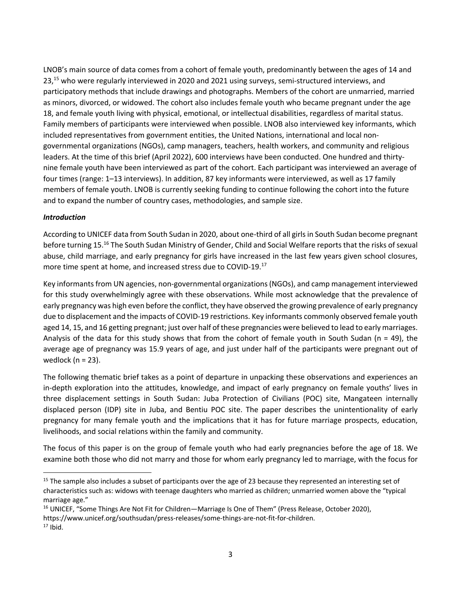LNOB's main source of data comes from a cohort of female youth, predominantly between the ages of 14 and 23,<sup>15</sup> who were regularly interviewed in 2020 and 2021 using surveys, semi-structured interviews, and participatory methods that include drawings and photographs. Members of the cohort are unmarried, married as minors, divorced, or widowed. The cohort also includes female youth who became pregnant under the age 18, and female youth living with physical, emotional, or intellectual disabilities, regardless of marital status. Family members of participants were interviewed when possible. LNOB also interviewed key informants, which included representatives from government entities, the United Nations, international and local nongovernmental organizations (NGOs), camp managers, teachers, health workers, and community and religious leaders. At the time of this brief (April 2022), 600 interviews have been conducted. One hundred and thirtynine female youth have been interviewed as part of the cohort. Each participant was interviewed an average of four times (range: 1–13 interviews). In addition, 87 key informants were interviewed, as well as 17 family members of female youth. LNOB is currently seeking funding to continue following the cohort into the future and to expand the number of country cases, methodologies, and sample size.

## *Introduction*

According to UNICEF data from South Sudan in 2020, about one-third of all girls in South Sudan become pregnant before turning 15.<sup>16</sup> The South Sudan Ministry of Gender, Child and Social Welfare reports that the risks of sexual abuse, child marriage, and early pregnancy for girls have increased in the last few years given school closures, more time spent at home, and increased stress due to COVID-19.17

Key informants from UN agencies, non-governmental organizations (NGOs), and camp management interviewed for this study overwhelmingly agree with these observations. While most acknowledge that the prevalence of early pregnancy was high even before the conflict, they have observed the growing prevalence of early pregnancy due to displacement and the impacts of COVID-19 restrictions. Key informants commonly observed female youth aged 14, 15, and 16 getting pregnant; just over half of these pregnancies were believed to lead to early marriages. Analysis of the data for this study shows that from the cohort of female youth in South Sudan (n = 49), the average age of pregnancy was 15.9 years of age, and just under half of the participants were pregnant out of wedlock ( $n = 23$ ).

The following thematic brief takes as a point of departure in unpacking these observations and experiences an in-depth exploration into the attitudes, knowledge, and impact of early pregnancy on female youths' lives in three displacement settings in South Sudan: Juba Protection of Civilians (POC) site, Mangateen internally displaced person (IDP) site in Juba, and Bentiu POC site. The paper describes the unintentionality of early pregnancy for many female youth and the implications that it has for future marriage prospects, education, livelihoods, and social relations within the family and community.

The focus of this paper is on the group of female youth who had early pregnancies before the age of 18. We examine both those who did not marry and those for whom early pregnancy led to marriage, with the focus for

<sup>&</sup>lt;sup>15</sup> The sample also includes a subset of participants over the age of 23 because they represented an interesting set of characteristics such as: widows with teenage daughters who married as children; unmarried women above the "typical marriage age."

<sup>&</sup>lt;sup>16</sup> UNICEF, "Some Things Are Not Fit for Children—Marriage Is One of Them" (Press Release, October 2020), https://www.unicef.org/southsudan/press-releases/some-things-are-not-fit-for-children.

 $17$  Ibid.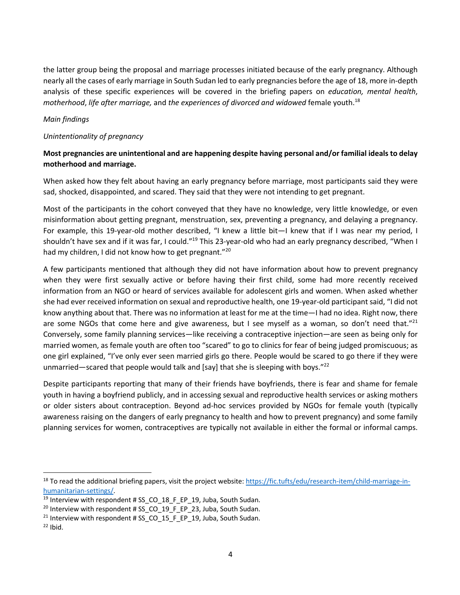the latter group being the proposal and marriage processes initiated because of the early pregnancy. Although nearly all the cases of early marriage in South Sudan led to early pregnancies before the age of 18, more in-depth analysis of these specific experiences will be covered in the briefing papers on *education, mental health*, *motherhood*, *life after marriage,* and *the experiences of divorced and widowed* female youth. 18

## *Main findings*

### *Unintentionality of pregnancy*

# **Most pregnancies are unintentional and are happening despite having personal and/or familial ideals to delay motherhood and marriage.**

When asked how they felt about having an early pregnancy before marriage, most participants said they were sad, shocked, disappointed, and scared. They said that they were not intending to get pregnant.

Most of the participants in the cohort conveyed that they have no knowledge, very little knowledge, or even misinformation about getting pregnant, menstruation, sex, preventing a pregnancy, and delaying a pregnancy. For example, this 19-year-old mother described, "I knew a little bit—I knew that if I was near my period, I shouldn't have sex and if it was far, I could."19 This 23-year-old who had an early pregnancy described, "When I had my children, I did not know how to get pregnant."<sup>20</sup>

A few participants mentioned that although they did not have information about how to prevent pregnancy when they were first sexually active or before having their first child, some had more recently received information from an NGO or heard of services available for adolescent girls and women. When asked whether she had ever received information on sexual and reproductive health, one 19-year-old participant said, "I did not know anything about that. There was no information at least for me at the time—I had no idea. Right now, there are some NGOs that come here and give awareness, but I see myself as a woman, so don't need that."<sup>21</sup> Conversely, some family planning services—like receiving a contraceptive injection—are seen as being only for married women, as female youth are often too "scared" to go to clinics for fear of being judged promiscuous; as one girl explained, "I've only ever seen married girls go there. People would be scared to go there if they were unmarried—scared that people would talk and [say] that she is sleeping with boys." $^{22}$ 

Despite participants reporting that many of their friends have boyfriends, there is fear and shame for female youth in having a boyfriend publicly, and in accessing sexual and reproductive health services or asking mothers or older sisters about contraception. Beyond ad-hoc services provided by NGOs for female youth (typically awareness raising on the dangers of early pregnancy to health and how to prevent pregnancy) and some family planning services for women, contraceptives are typically not available in either the formal or informal camps.

<sup>&</sup>lt;sup>18</sup> To read the additional briefing papers, visit the project website: https://fic.tufts/edu/research-item/child-marriage-inhumanitarian-settings/.

<sup>&</sup>lt;sup>19</sup> Interview with respondent # SS\_CO\_18\_F\_EP\_19, Juba, South Sudan.

<sup>&</sup>lt;sup>20</sup> Interview with respondent # SS\_CO\_19\_F\_EP\_23, Juba, South Sudan.  $^{21}$  Interview with respondent # SS\_CO\_15\_F\_EP\_19, Juba, South Sudan.

 $22$  Ibid.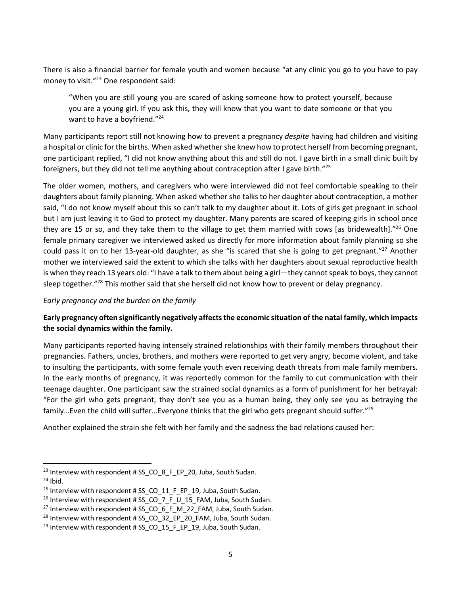There is also a financial barrier for female youth and women because "at any clinic you go to you have to pay money to visit."<sup>23</sup> One respondent said:

"When you are still young you are scared of asking someone how to protect yourself, because you are a young girl. If you ask this, they will know that you want to date someone or that you want to have a boyfriend."<sup>24</sup>

Many participants report still not knowing how to prevent a pregnancy *despite* having had children and visiting a hospital or clinic for the births. When asked whether she knew how to protect herself from becoming pregnant, one participant replied, "I did not know anything about this and still do not. I gave birth in a small clinic built by foreigners, but they did not tell me anything about contraception after I gave birth."<sup>25</sup>

The older women, mothers, and caregivers who were interviewed did not feel comfortable speaking to their daughters about family planning. When asked whether she talks to her daughter about contraception, a mother said, "I do not know myself about this so can't talk to my daughter about it. Lots of girls get pregnant in school but I am just leaving it to God to protect my daughter. Many parents are scared of keeping girls in school once they are 15 or so, and they take them to the village to get them married with cows [as bridewealth]."<sup>26</sup> One female primary caregiver we interviewed asked us directly for more information about family planning so she could pass it on to her 13-year-old daughter, as she "is scared that she is going to get pregnant."<sup>27</sup> Another mother we interviewed said the extent to which she talks with her daughters about sexual reproductive health is when they reach 13 years old: "I have a talk to them about being a girl—they cannot speak to boys, they cannot sleep together."<sup>28</sup> This mother said that she herself did not know how to prevent or delay pregnancy.

#### *Early pregnancy and the burden on the family*

# **Early pregnancy often significantly negatively affects the economic situation of the natal family, which impacts the social dynamics within the family.**

Many participants reported having intensely strained relationships with their family members throughout their pregnancies. Fathers, uncles, brothers, and mothers were reported to get very angry, become violent, and take to insulting the participants, with some female youth even receiving death threats from male family members. In the early months of pregnancy, it was reportedly common for the family to cut communication with their teenage daughter. One participant saw the strained social dynamics as a form of punishment for her betrayal: "For the girl who gets pregnant, they don't see you as a human being, they only see you as betraying the family…Even the child will suffer…Everyone thinks that the girl who gets pregnant should suffer."29

Another explained the strain she felt with her family and the sadness the bad relations caused her:

<sup>&</sup>lt;sup>23</sup> Interview with respondent #  $SS\_CO\_8$ <sub>\_F</sub>\_EP\_20, Juba, South Sudan. <sup>24</sup> Ibid.

<sup>&</sup>lt;sup>25</sup> Interview with respondent # SS\_CO\_11\_F\_EP\_19, Juba, South Sudan.

<sup>&</sup>lt;sup>26</sup> Interview with respondent # SS\_CO\_7\_F\_U\_15\_FAM, Juba, South Sudan.

<sup>&</sup>lt;sup>27</sup> Interview with respondent # SS CO  $6$  F M 22 FAM, Juba, South Sudan.

<sup>&</sup>lt;sup>28</sup> Interview with respondent # SS\_CO\_32\_EP\_20\_FAM, Juba, South Sudan.

 $^{29}$  Interview with respondent # SS CO 15 F EP 19, Juba, South Sudan.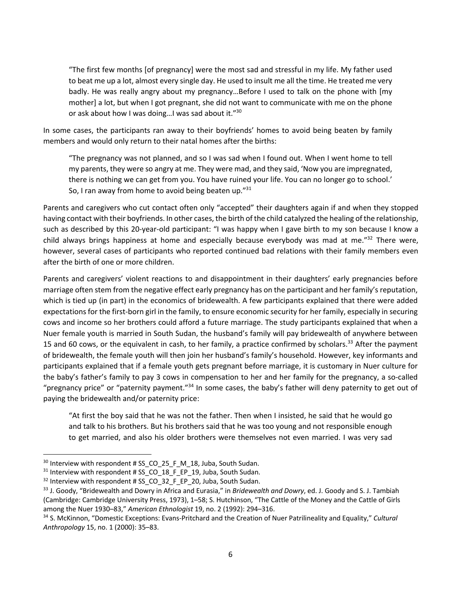"The first few months [of pregnancy] were the most sad and stressful in my life. My father used to beat me up a lot, almost every single day. He used to insult me all the time. He treated me very badly. He was really angry about my pregnancy…Before I used to talk on the phone with [my mother] a lot, but when I got pregnant, she did not want to communicate with me on the phone or ask about how I was doing...I was sad about it."<sup>30</sup>

In some cases, the participants ran away to their boyfriends' homes to avoid being beaten by family members and would only return to their natal homes after the births:

"The pregnancy was not planned, and so I was sad when I found out. When I went home to tell my parents, they were so angry at me. They were mad, and they said, 'Now you are impregnated, there is nothing we can get from you. You have ruined your life. You can no longer go to school.' So, I ran away from home to avoid being beaten up."31

Parents and caregivers who cut contact often only "accepted" their daughters again if and when they stopped having contact with their boyfriends. In other cases, the birth of the child catalyzed the healing of the relationship, such as described by this 20-year-old participant: "I was happy when I gave birth to my son because I know a child always brings happiness at home and especially because everybody was mad at me." $32$  There were, however, several cases of participants who reported continued bad relations with their family members even after the birth of one or more children.

Parents and caregivers' violent reactions to and disappointment in their daughters' early pregnancies before marriage often stem from the negative effect early pregnancy has on the participant and her family's reputation, which is tied up (in part) in the economics of bridewealth. A few participants explained that there were added expectations for the first-born girl in the family, to ensure economic security for her family, especially in securing cows and income so her brothers could afford a future marriage. The study participants explained that when a Nuer female youth is married in South Sudan, the husband's family will pay bridewealth of anywhere between 15 and 60 cows, or the equivalent in cash, to her family, a practice confirmed by scholars.<sup>33</sup> After the payment of bridewealth, the female youth will then join her husband's family's household. However, key informants and participants explained that if a female youth gets pregnant before marriage, it is customary in Nuer culture for the baby's father's family to pay 3 cows in compensation to her and her family for the pregnancy, a so-called "pregnancy price" or "paternity payment."<sup>34</sup> In some cases, the baby's father will deny paternity to get out of paying the bridewealth and/or paternity price:

"At first the boy said that he was not the father. Then when I insisted, he said that he would go and talk to his brothers. But his brothers said that he was too young and not responsible enough to get married, and also his older brothers were themselves not even married. I was very sad

 $30$  Interview with respondent # SS CO 25 F M 18, Juba, South Sudan.

<sup>&</sup>lt;sup>31</sup> Interview with respondent # SS\_CO\_18\_F\_EP\_19, Juba, South Sudan.

 $32$  Interview with respondent # SS CO 32 F EP 20, Juba, South Sudan.

<sup>33</sup> J. Goody, "Bridewealth and Dowry in Africa and Eurasia," in *Bridewealth and Dowry*, ed. J. Goody and S. J. Tambiah (Cambridge: Cambridge University Press, 1973), 1–58; S. Hutchinson, "The Cattle of the Money and the Cattle of Girls among the Nuer 1930–83," *American Ethnologist* 19, no. 2 (1992): 294–316.

<sup>34</sup> S. McKinnon, "Domestic Exceptions: Evans-Pritchard and the Creation of Nuer Patrilineality and Equality," *Cultural Anthropology* 15, no. 1 (2000): 35–83.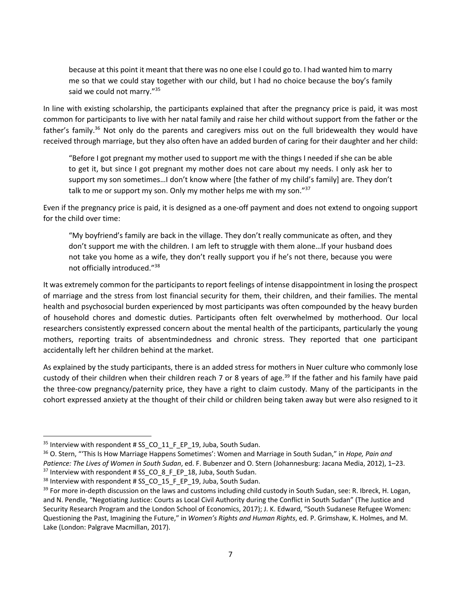because at this point it meant that there was no one else I could go to. I had wanted him to marry me so that we could stay together with our child, but I had no choice because the boy's family said we could not marry."<sup>35</sup>

In line with existing scholarship, the participants explained that after the pregnancy price is paid, it was most common for participants to live with her natal family and raise her child without support from the father or the father's family.<sup>36</sup> Not only do the parents and caregivers miss out on the full bridewealth they would have received through marriage, but they also often have an added burden of caring for their daughter and her child:

"Before I got pregnant my mother used to support me with the things I needed if she can be able to get it, but since I got pregnant my mother does not care about my needs. I only ask her to support my son sometimes…I don't know where [the father of my child's family] are. They don't talk to me or support my son. Only my mother helps me with my son." $37$ 

Even if the pregnancy price is paid, it is designed as a one-off payment and does not extend to ongoing support for the child over time:

"My boyfriend's family are back in the village. They don't really communicate as often, and they don't support me with the children. I am left to struggle with them alone…If your husband does not take you home as a wife, they don't really support you if he's not there, because you were not officially introduced."38

It was extremely common for the participants to report feelings of intense disappointment in losing the prospect of marriage and the stress from lost financial security for them, their children, and their families. The mental health and psychosocial burden experienced by most participants was often compounded by the heavy burden of household chores and domestic duties. Participants often felt overwhelmed by motherhood. Our local researchers consistently expressed concern about the mental health of the participants, particularly the young mothers, reporting traits of absentmindedness and chronic stress. They reported that one participant accidentally left her children behind at the market.

As explained by the study participants, there is an added stress for mothers in Nuer culture who commonly lose custody of their children when their children reach 7 or 8 years of age.<sup>39</sup> If the father and his family have paid the three-cow pregnancy/paternity price, they have a right to claim custody. Many of the participants in the cohort expressed anxiety at the thought of their child or children being taken away but were also resigned to it

 $35$  Interview with respondent # SS CO 11 F EP 19, Juba, South Sudan.

<sup>36</sup> O. Stern, "'This Is How Marriage Happens Sometimes': Women and Marriage in South Sudan," in *Hope, Pain and Patience: The Lives of Women in South Sudan*, ed. F. Bubenzer and O. Stern (Johannesburg: Jacana Media, 2012), 1–23.  $37$  Interview with respondent # SS CO 8 F EP 18, Juba, South Sudan.

 $38$  Interview with respondent # SS CO 15 F EP 19, Juba, South Sudan.

<sup>&</sup>lt;sup>39</sup> For more in-depth discussion on the laws and customs including child custody in South Sudan, see: R. Ibreck, H. Logan, and N. Pendle, "Negotiating Justice: Courts as Local Civil Authority during the Conflict in South Sudan" (The Justice and Security Research Program and the London School of Economics, 2017); J. K. Edward, "South Sudanese Refugee Women: Questioning the Past, Imagining the Future," in *Women's Rights and Human Rights*, ed. P. Grimshaw, K. Holmes, and M. Lake (London: Palgrave Macmillan, 2017).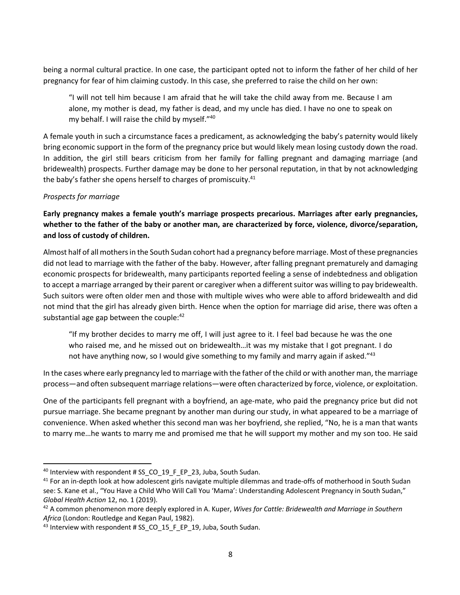being a normal cultural practice. In one case, the participant opted not to inform the father of her child of her pregnancy for fear of him claiming custody. In this case, she preferred to raise the child on her own:

"I will not tell him because I am afraid that he will take the child away from me. Because I am alone, my mother is dead, my father is dead, and my uncle has died. I have no one to speak on my behalf. I will raise the child by myself."40

A female youth in such a circumstance faces a predicament, as acknowledging the baby's paternity would likely bring economic support in the form of the pregnancy price but would likely mean losing custody down the road. In addition, the girl still bears criticism from her family for falling pregnant and damaging marriage (and bridewealth) prospects. Further damage may be done to her personal reputation, in that by not acknowledging the baby's father she opens herself to charges of promiscuity.<sup>41</sup>

# *Prospects for marriage*

**Early pregnancy makes a female youth's marriage prospects precarious. Marriages after early pregnancies, whether to the father of the baby or another man, are characterized by force, violence, divorce/separation, and loss of custody of children.** 

Almost half of all mothers in the South Sudan cohort had a pregnancy before marriage. Most of these pregnancies did not lead to marriage with the father of the baby. However, after falling pregnant prematurely and damaging economic prospects for bridewealth, many participants reported feeling a sense of indebtedness and obligation to accept a marriage arranged by their parent or caregiver when a different suitor was willing to pay bridewealth. Such suitors were often older men and those with multiple wives who were able to afford bridewealth and did not mind that the girl has already given birth. Hence when the option for marriage did arise, there was often a substantial age gap between the couple:<sup>42</sup>

"If my brother decides to marry me off, I will just agree to it. I feel bad because he was the one who raised me, and he missed out on bridewealth…it was my mistake that I got pregnant. I do not have anything now, so I would give something to my family and marry again if asked." $43$ 

In the cases where early pregnancy led to marriage with the father of the child or with another man, the marriage process—and often subsequent marriage relations—were often characterized by force, violence, or exploitation.

One of the participants fell pregnant with a boyfriend, an age-mate, who paid the pregnancy price but did not pursue marriage. She became pregnant by another man during our study, in what appeared to be a marriage of convenience. When asked whether this second man was her boyfriend, she replied, "No, he is a man that wants to marry me…he wants to marry me and promised me that he will support my mother and my son too. He said

 $40$  Interview with respondent # SS CO 19 F EP 23, Juba, South Sudan.

 $41$  For an in-depth look at how adolescent girls navigate multiple dilemmas and trade-offs of motherhood in South Sudan see: S. Kane et al., "You Have a Child Who Will Call You 'Mama': Understanding Adolescent Pregnancy in South Sudan," *Global Health Action* 12, no. 1 (2019).

<sup>42</sup> A common phenomenon more deeply explored in A. Kuper, *Wives for Cattle: Bridewealth and Marriage in Southern Africa* (London: Routledge and Kegan Paul, 1982).

 $43$  Interview with respondent # SS CO 15 F EP 19, Juba, South Sudan.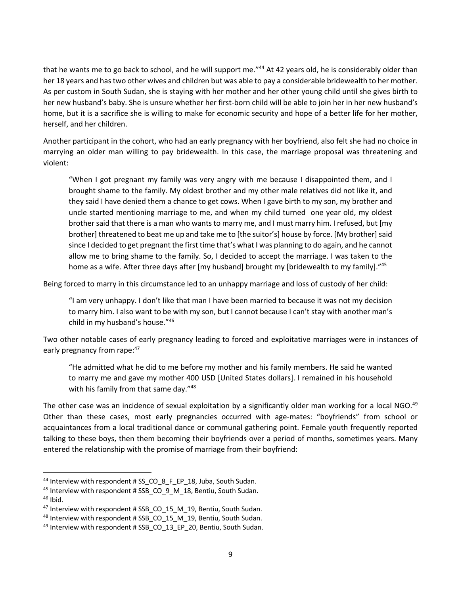that he wants me to go back to school, and he will support me."<sup>44</sup> At 42 years old, he is considerably older than her 18 years and has two other wives and children but was able to pay a considerable bridewealth to her mother. As per custom in South Sudan, she is staying with her mother and her other young child until she gives birth to her new husband's baby. She is unsure whether her first-born child will be able to join her in her new husband's home, but it is a sacrifice she is willing to make for economic security and hope of a better life for her mother, herself, and her children.

Another participant in the cohort, who had an early pregnancy with her boyfriend, also felt she had no choice in marrying an older man willing to pay bridewealth. In this case, the marriage proposal was threatening and violent:

"When I got pregnant my family was very angry with me because I disappointed them, and I brought shame to the family. My oldest brother and my other male relatives did not like it, and they said I have denied them a chance to get cows. When I gave birth to my son, my brother and uncle started mentioning marriage to me, and when my child turned one year old, my oldest brother said that there is a man who wants to marry me, and I must marry him. I refused, but [my brother] threatened to beat me up and take me to [the suitor's] house by force. [My brother] said since I decided to get pregnant the first time that's what I was planning to do again, and he cannot allow me to bring shame to the family. So, I decided to accept the marriage. I was taken to the home as a wife. After three days after [my husband] brought my [bridewealth to my family]."<sup>45</sup>

Being forced to marry in this circumstance led to an unhappy marriage and loss of custody of her child:

"I am very unhappy. I don't like that man I have been married to because it was not my decision to marry him. I also want to be with my son, but I cannot because I can't stay with another man's child in my husband's house."46

Two other notable cases of early pregnancy leading to forced and exploitative marriages were in instances of early pregnancy from rape:<sup>47</sup>

"He admitted what he did to me before my mother and his family members. He said he wanted to marry me and gave my mother 400 USD [United States dollars]. I remained in his household with his family from that same day."<sup>48</sup>

The other case was an incidence of sexual exploitation by a significantly older man working for a local NGO.<sup>49</sup> Other than these cases, most early pregnancies occurred with age-mates: "boyfriends" from school or acquaintances from a local traditional dance or communal gathering point. Female youth frequently reported talking to these boys, then them becoming their boyfriends over a period of months, sometimes years. Many entered the relationship with the promise of marriage from their boyfriend:

<sup>&</sup>lt;sup>44</sup> Interview with respondent # SS CO  $8$  F EP 18, Juba, South Sudan.

<sup>45</sup> Interview with respondent # SSB\_CO\_9\_M\_18, Bentiu, South Sudan.

 $46$  Ibid.

 $47$  Interview with respondent # SSB CO 15 M 19, Bentiu, South Sudan.

<sup>48</sup> Interview with respondent # SSB\_CO\_15\_M\_19, Bentiu, South Sudan.

<sup>&</sup>lt;sup>49</sup> Interview with respondent # SSB\_CO\_13\_EP\_20, Bentiu, South Sudan.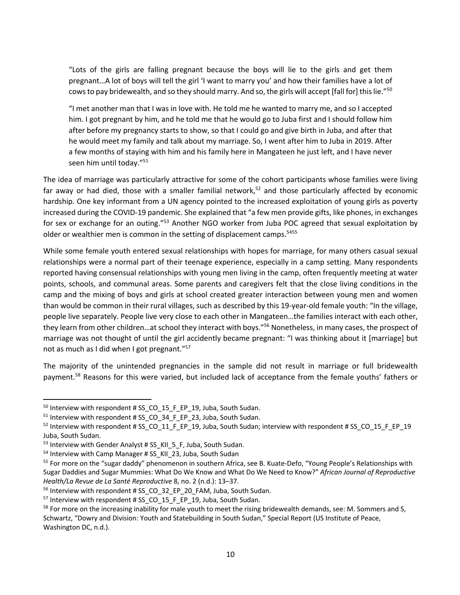"Lots of the girls are falling pregnant because the boys will lie to the girls and get them pregnant…A lot of boys will tell the girl 'I want to marry you' and how their families have a lot of cows to pay bridewealth, and so they should marry. And so, the girls will accept [fall for] this lie."<sup>50</sup>

"I met another man that I was in love with. He told me he wanted to marry me, and so I accepted him. I got pregnant by him, and he told me that he would go to Juba first and I should follow him after before my pregnancy starts to show, so that I could go and give birth in Juba, and after that he would meet my family and talk about my marriage. So, I went after him to Juba in 2019. After a few months of staying with him and his family here in Mangateen he just left, and I have never seen him until today."<sup>51</sup>

The idea of marriage was particularly attractive for some of the cohort participants whose families were living far away or had died, those with a smaller familial network,<sup>52</sup> and those particularly affected by economic hardship. One key informant from a UN agency pointed to the increased exploitation of young girls as poverty increased during the COVID-19 pandemic. She explained that "a few men provide gifts, like phones, in exchanges for sex or exchange for an outing."53 Another NGO worker from Juba POC agreed that sexual exploitation by older or wealthier men is common in the setting of displacement camps.<sup>5455</sup>

While some female youth entered sexual relationships with hopes for marriage, for many others casual sexual relationships were a normal part of their teenage experience, especially in a camp setting. Many respondents reported having consensual relationships with young men living in the camp, often frequently meeting at water points, schools, and communal areas. Some parents and caregivers felt that the close living conditions in the camp and the mixing of boys and girls at school created greater interaction between young men and women than would be common in their rural villages, such as described by this 19-year-old female youth: "In the village, people live separately. People live very close to each other in Mangateen…the families interact with each other, they learn from other children...at school they interact with boys."<sup>56</sup> Nonetheless, in many cases, the prospect of marriage was not thought of until the girl accidently became pregnant: "I was thinking about it [marriage] but not as much as I did when I got pregnant."<sup>57</sup>

The majority of the unintended pregnancies in the sample did not result in marriage or full bridewealth payment.<sup>58</sup> Reasons for this were varied, but included lack of acceptance from the female youths' fathers or

 $50$  Interview with respondent # SS CO 15 F EP 19, Juba, South Sudan.

<sup>&</sup>lt;sup>51</sup> Interview with respondent # SS\_CO\_34\_F\_EP\_23, Juba, South Sudan.

 $52$  Interview with respondent # SS\_CO\_11\_F\_EP\_19, Juba, South Sudan; interview with respondent # SS\_CO\_15\_F\_EP\_19 Juba, South Sudan.

<sup>53</sup> Interview with Gender Analyst # SS\_KII\_5\_F, Juba, South Sudan.

<sup>54</sup> Interview with Camp Manager # SS\_KII\_23, Juba, South Sudan

<sup>&</sup>lt;sup>55</sup> For more on the "sugar daddy" phenomenon in southern Africa, see B. Kuate-Defo, "Young People's Relationships with Sugar Daddies and Sugar Mummies: What Do We Know and What Do We Need to Know?" *African Journal of Reproductive Health/La Revue de La Santé Reproductive* 8, no. 2 (n.d.): 13–37.

<sup>56</sup> Interview with respondent # SS\_CO\_32\_EP\_20\_FAM, Juba, South Sudan.

<sup>&</sup>lt;sup>57</sup> Interview with respondent # SS\_CO\_15\_F\_EP\_19, Juba, South Sudan.

<sup>&</sup>lt;sup>58</sup> For more on the increasing inability for male youth to meet the rising bridewealth demands, see: M. Sommers and S, Schwartz, "Dowry and Division: Youth and Statebuilding in South Sudan," Special Report (US Institute of Peace, Washington DC, n.d.).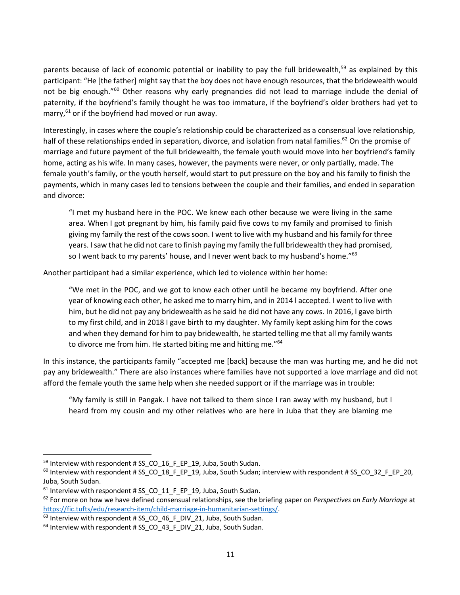parents because of lack of economic potential or inability to pay the full bridewealth,<sup>59</sup> as explained by this participant: "He [the father] might say that the boy does not have enough resources, that the bridewealth would not be big enough."<sup>60</sup> Other reasons why early pregnancies did not lead to marriage include the denial of paternity, if the boyfriend's family thought he was too immature, if the boyfriend's older brothers had yet to marry,<sup>61</sup> or if the boyfriend had moved or run away.

Interestingly, in cases where the couple's relationship could be characterized as a consensual love relationship, half of these relationships ended in separation, divorce, and isolation from natal families.<sup>62</sup> On the promise of marriage and future payment of the full bridewealth, the female youth would move into her boyfriend's family home, acting as his wife. In many cases, however, the payments were never, or only partially, made. The female youth's family, or the youth herself, would start to put pressure on the boy and his family to finish the payments, which in many cases led to tensions between the couple and their families, and ended in separation and divorce:

"I met my husband here in the POC. We knew each other because we were living in the same area. When I got pregnant by him, his family paid five cows to my family and promised to finish giving my family the rest of the cows soon. I went to live with my husband and his family for three years. I saw that he did not care to finish paying my family the full bridewealth they had promised, so I went back to my parents' house, and I never went back to my husband's home." $63$ 

Another participant had a similar experience, which led to violence within her home:

"We met in the POC, and we got to know each other until he became my boyfriend. After one year of knowing each other, he asked me to marry him, and in 2014 l accepted. I went to live with him, but he did not pay any bridewealth as he said he did not have any cows. In 2016, l gave birth to my first child, and in 2018 I gave birth to my daughter. My family kept asking him for the cows and when they demand for him to pay bridewealth, he started telling me that all my family wants to divorce me from him. He started biting me and hitting me."<sup>64</sup>

In this instance, the participants family "accepted me [back] because the man was hurting me, and he did not pay any bridewealth." There are also instances where families have not supported a love marriage and did not afford the female youth the same help when she needed support or if the marriage was in trouble:

"My family is still in Pangak. I have not talked to them since I ran away with my husband, but I heard from my cousin and my other relatives who are here in Juba that they are blaming me

 $59$  Interview with respondent # SS CO 16 F EP 19, Juba, South Sudan.

<sup>&</sup>lt;sup>60</sup> Interview with respondent # SS\_CO\_18\_F\_EP\_19, Juba, South Sudan; interview with respondent # SS\_CO\_32\_F\_EP\_20, Juba, South Sudan.

 $61$  Interview with respondent # SS\_CO\_11\_F\_EP\_19, Juba, South Sudan.

<sup>62</sup> For more on how we have defined consensual relationships, see the briefing paper on *Perspectives on Early Marriage* at https://fic.tufts/edu/research-item/child-marriage-in-humanitarian-settings/.

 $63$  Interview with respondent # SS CO 46 F DIV 21, Juba, South Sudan.

 $64$  Interview with respondent # SS CO 43 F DIV 21, Juba, South Sudan.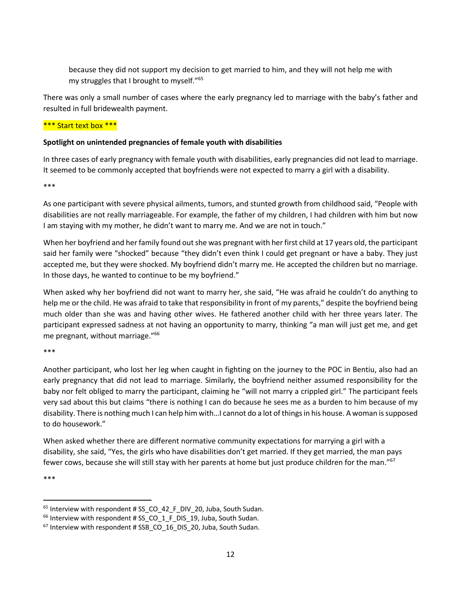because they did not support my decision to get married to him, and they will not help me with my struggles that I brought to myself."<sup>65</sup>

There was only a small number of cases where the early pregnancy led to marriage with the baby's father and resulted in full bridewealth payment.

## \*\*\* Start text box \*\*\*

### **Spotlight on unintended pregnancies of female youth with disabilities**

In three cases of early pregnancy with female youth with disabilities, early pregnancies did not lead to marriage. It seemed to be commonly accepted that boyfriends were not expected to marry a girl with a disability.

\*\*\*

As one participant with severe physical ailments, tumors, and stunted growth from childhood said, "People with disabilities are not really marriageable. For example, the father of my children, I had children with him but now I am staying with my mother, he didn't want to marry me. And we are not in touch."

When her boyfriend and her family found out she was pregnant with her first child at 17 years old, the participant said her family were "shocked" because "they didn't even think I could get pregnant or have a baby. They just accepted me, but they were shocked. My boyfriend didn't marry me. He accepted the children but no marriage. In those days, he wanted to continue to be my boyfriend."

When asked why her boyfriend did not want to marry her, she said, "He was afraid he couldn't do anything to help me or the child. He was afraid to take that responsibility in front of my parents," despite the boyfriend being much older than she was and having other wives. He fathered another child with her three years later. The participant expressed sadness at not having an opportunity to marry, thinking "a man will just get me, and get me pregnant, without marriage."66

\*\*\*

Another participant, who lost her leg when caught in fighting on the journey to the POC in Bentiu, also had an early pregnancy that did not lead to marriage. Similarly, the boyfriend neither assumed responsibility for the baby nor felt obliged to marry the participant, claiming he "will not marry a crippled girl." The participant feels very sad about this but claims "there is nothing I can do because he sees me as a burden to him because of my disability. There is nothing much I can help him with…I cannot do a lot of things in his house. A woman is supposed to do housework."

When asked whether there are different normative community expectations for marrying a girl with a disability, she said, "Yes, the girls who have disabilities don't get married. If they get married, the man pays fewer cows, because she will still stay with her parents at home but just produce children for the man."67

\*\*\*

 $65$  Interview with respondent # SS CO 42 F DIV 20, Juba, South Sudan.

<sup>&</sup>lt;sup>66</sup> Interview with respondent # SS\_CO\_1\_F\_DIS\_19, Juba, South Sudan. 67 Interview with respondent # SSB\_CO\_16\_DIS\_20, Juba, South Sudan.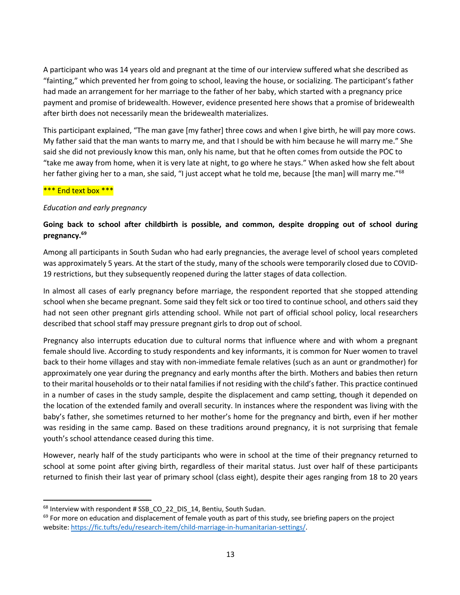A participant who was 14 years old and pregnant at the time of our interview suffered what she described as "fainting," which prevented her from going to school, leaving the house, or socializing. The participant's father had made an arrangement for her marriage to the father of her baby, which started with a pregnancy price payment and promise of bridewealth. However, evidence presented here shows that a promise of bridewealth after birth does not necessarily mean the bridewealth materializes.

This participant explained, "The man gave [my father] three cows and when I give birth, he will pay more cows. My father said that the man wants to marry me, and that I should be with him because he will marry me." She said she did not previously know this man, only his name, but that he often comes from outside the POC to "take me away from home, when it is very late at night, to go where he stays." When asked how she felt about her father giving her to a man, she said, "I just accept what he told me, because [the man] will marry me."<sup>68</sup>

#### \*\*\* End text box \*\*\*

## *Education and early pregnancy*

# **Going back to school after childbirth is possible, and common, despite dropping out of school during pregnancy.69**

Among all participants in South Sudan who had early pregnancies, the average level of school years completed was approximately 5 years. At the start of the study, many of the schools were temporarily closed due to COVID-19 restrictions, but they subsequently reopened during the latter stages of data collection.

In almost all cases of early pregnancy before marriage, the respondent reported that she stopped attending school when she became pregnant. Some said they felt sick or too tired to continue school, and others said they had not seen other pregnant girls attending school. While not part of official school policy, local researchers described that school staff may pressure pregnant girls to drop out of school.

Pregnancy also interrupts education due to cultural norms that influence where and with whom a pregnant female should live. According to study respondents and key informants, it is common for Nuer women to travel back to their home villages and stay with non-immediate female relatives (such as an aunt or grandmother) for approximately one year during the pregnancy and early months after the birth. Mothers and babies then return to their marital households or to their natal families if not residing with the child's father. This practice continued in a number of cases in the study sample, despite the displacement and camp setting, though it depended on the location of the extended family and overall security. In instances where the respondent was living with the baby's father, she sometimes returned to her mother's home for the pregnancy and birth, even if her mother was residing in the same camp. Based on these traditions around pregnancy, it is not surprising that female youth's school attendance ceased during this time.

However, nearly half of the study participants who were in school at the time of their pregnancy returned to school at some point after giving birth, regardless of their marital status. Just over half of these participants returned to finish their last year of primary school (class eight), despite their ages ranging from 18 to 20 years

 $68$  Interview with respondent # SSB CO 22 DIS 14, Bentiu, South Sudan.

 $69$  For more on education and displacement of female youth as part of this study, see briefing papers on the project website: https://fic.tufts/edu/research-item/child-marriage-in-humanitarian-settings/.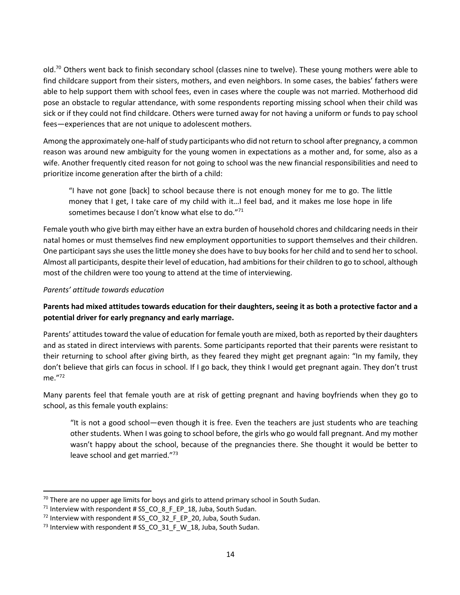old.<sup>70</sup> Others went back to finish secondary school (classes nine to twelve). These young mothers were able to find childcare support from their sisters, mothers, and even neighbors. In some cases, the babies' fathers were able to help support them with school fees, even in cases where the couple was not married. Motherhood did pose an obstacle to regular attendance, with some respondents reporting missing school when their child was sick or if they could not find childcare. Others were turned away for not having a uniform or funds to pay school fees—experiences that are not unique to adolescent mothers.

Among the approximately one-half of study participants who did not return to school after pregnancy, a common reason was around new ambiguity for the young women in expectations as a mother and, for some, also as a wife. Another frequently cited reason for not going to school was the new financial responsibilities and need to prioritize income generation after the birth of a child:

"I have not gone [back] to school because there is not enough money for me to go. The little money that I get, I take care of my child with it…I feel bad, and it makes me lose hope in life sometimes because I don't know what else to do."71

Female youth who give birth may either have an extra burden of household chores and childcaring needs in their natal homes or must themselves find new employment opportunities to support themselves and their children. One participant says she uses the little money she does have to buy books for her child and to send her to school. Almost all participants, despite their level of education, had ambitions for their children to go to school, although most of the children were too young to attend at the time of interviewing.

# *Parents' attitude towards education*

# **Parents had mixed attitudes towards education for their daughters, seeing it as both a protective factor and a potential driver for early pregnancy and early marriage.**

Parents' attitudes toward the value of education for female youth are mixed, both as reported by their daughters and as stated in direct interviews with parents. Some participants reported that their parents were resistant to their returning to school after giving birth, as they feared they might get pregnant again: "In my family, they don't believe that girls can focus in school. If I go back, they think I would get pregnant again. They don't trust me."72

Many parents feel that female youth are at risk of getting pregnant and having boyfriends when they go to school, as this female youth explains:

"It is not a good school—even though it is free. Even the teachers are just students who are teaching other students. When I was going to school before, the girls who go would fall pregnant. And my mother wasn't happy about the school, because of the pregnancies there. She thought it would be better to leave school and get married."73

 $70$  There are no upper age limits for boys and girls to attend primary school in South Sudan.

<sup>&</sup>lt;sup>71</sup> Interview with respondent # SS CO  $8$  F EP 18, Juba, South Sudan.

<sup>72</sup> Interview with respondent # SS\_CO\_32\_F\_EP\_20, Juba, South Sudan.

 $^{73}$  Interview with respondent # SS CO 31 F W 18, Juba, South Sudan.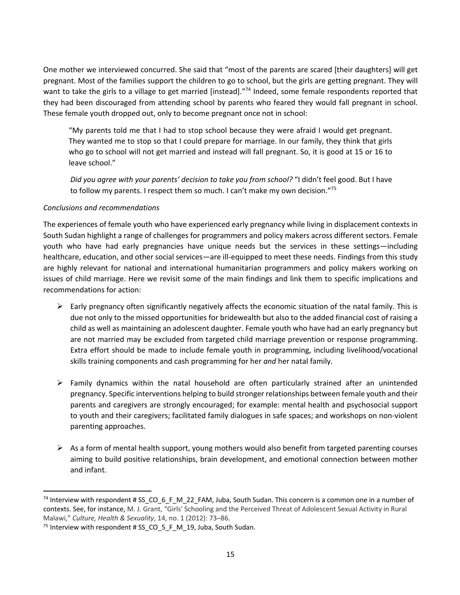One mother we interviewed concurred. She said that "most of the parents are scared [their daughters] will get pregnant. Most of the families support the children to go to school, but the girls are getting pregnant. They will want to take the girls to a village to get married [instead]."<sup>74</sup> Indeed, some female respondents reported that they had been discouraged from attending school by parents who feared they would fall pregnant in school. These female youth dropped out, only to become pregnant once not in school:

"My parents told me that I had to stop school because they were afraid I would get pregnant. They wanted me to stop so that I could prepare for marriage. In our family, they think that girls who go to school will not get married and instead will fall pregnant. So, it is good at 15 or 16 to leave school."

*Did you agree with your parents' decision to take you from school?* "I didn't feel good. But I have to follow my parents. I respect them so much. I can't make my own decision."75

#### *Conclusions and recommendations*

The experiences of female youth who have experienced early pregnancy while living in displacement contexts in South Sudan highlight a range of challenges for programmers and policy makers across different sectors. Female youth who have had early pregnancies have unique needs but the services in these settings—including healthcare, education, and other social services—are ill-equipped to meet these needs. Findings from this study are highly relevant for national and international humanitarian programmers and policy makers working on issues of child marriage. Here we revisit some of the main findings and link them to specific implications and recommendations for action:

- $\triangleright$  Early pregnancy often significantly negatively affects the economic situation of the natal family. This is due not only to the missed opportunities for bridewealth but also to the added financial cost of raising a child as well as maintaining an adolescent daughter. Female youth who have had an early pregnancy but are not married may be excluded from targeted child marriage prevention or response programming. Extra effort should be made to include female youth in programming, including livelihood/vocational skills training components and cash programming for her *and* her natal family.
- $\triangleright$  Family dynamics within the natal household are often particularly strained after an unintended pregnancy. Specific interventions helping to build stronger relationships between female youth and their parents and caregivers are strongly encouraged; for example: mental health and psychosocial support to youth and their caregivers; facilitated family dialogues in safe spaces; and workshops on non-violent parenting approaches.
- $\triangleright$  As a form of mental health support, young mothers would also benefit from targeted parenting courses aiming to build positive relationships, brain development, and emotional connection between mother and infant.

<sup>&</sup>lt;sup>74</sup> Interview with respondent # SS\_CO\_6\_F\_M\_22\_FAM, Juba, South Sudan. This concern is a common one in a number of contexts. See, for instance, M. J. Grant, "Girls' Schooling and the Perceived Threat of Adolescent Sexual Activity in Rural Malawi," *Culture, Health & Sexuality*, 14, no. 1 (2012): 73–86.

 $75$  Interview with respondent # SS CO 5 F M 19, Juba, South Sudan.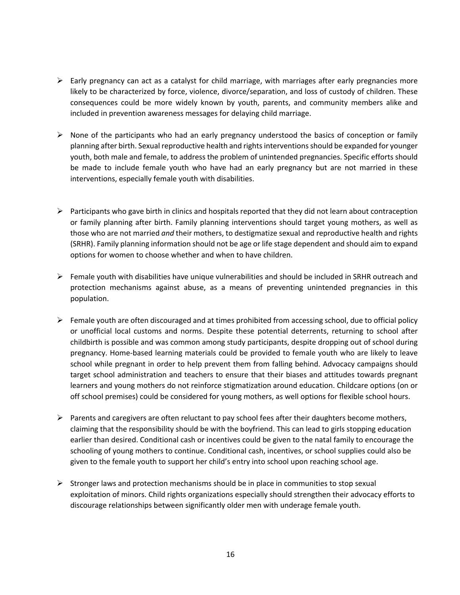- $\triangleright$  Early pregnancy can act as a catalyst for child marriage, with marriages after early pregnancies more likely to be characterized by force, violence, divorce/separation, and loss of custody of children. These consequences could be more widely known by youth, parents, and community members alike and included in prevention awareness messages for delaying child marriage.
- $\triangleright$  None of the participants who had an early pregnancy understood the basics of conception or family planning after birth. Sexual reproductive health and rights interventions should be expanded for younger youth, both male and female, to address the problem of unintended pregnancies. Specific efforts should be made to include female youth who have had an early pregnancy but are not married in these interventions, especially female youth with disabilities.
- $\triangleright$  Participants who gave birth in clinics and hospitals reported that they did not learn about contraception or family planning after birth. Family planning interventions should target young mothers, as well as those who are not married *and* their mothers, to destigmatize sexual and reproductive health and rights (SRHR). Family planning information should not be age or life stage dependent and should aim to expand options for women to choose whether and when to have children.
- $\triangleright$  Female youth with disabilities have unique vulnerabilities and should be included in SRHR outreach and protection mechanisms against abuse, as a means of preventing unintended pregnancies in this population.
- $\triangleright$  Female youth are often discouraged and at times prohibited from accessing school, due to official policy or unofficial local customs and norms. Despite these potential deterrents, returning to school after childbirth is possible and was common among study participants, despite dropping out of school during pregnancy. Home-based learning materials could be provided to female youth who are likely to leave school while pregnant in order to help prevent them from falling behind. Advocacy campaigns should target school administration and teachers to ensure that their biases and attitudes towards pregnant learners and young mothers do not reinforce stigmatization around education. Childcare options (on or off school premises) could be considered for young mothers, as well options for flexible school hours.
- $\triangleright$  Parents and caregivers are often reluctant to pay school fees after their daughters become mothers, claiming that the responsibility should be with the boyfriend. This can lead to girls stopping education earlier than desired. Conditional cash or incentives could be given to the natal family to encourage the schooling of young mothers to continue. Conditional cash, incentives, or school supplies could also be given to the female youth to support her child's entry into school upon reaching school age.
- $\triangleright$  Stronger laws and protection mechanisms should be in place in communities to stop sexual exploitation of minors. Child rights organizations especially should strengthen their advocacy efforts to discourage relationships between significantly older men with underage female youth.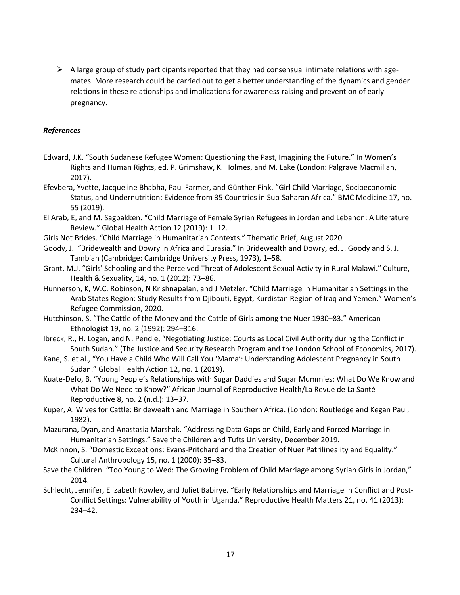$\triangleright$  A large group of study participants reported that they had consensual intimate relations with agemates. More research could be carried out to get a better understanding of the dynamics and gender relations in these relationships and implications for awareness raising and prevention of early pregnancy.

## *References*

- Edward, J.K. "South Sudanese Refugee Women: Questioning the Past, Imagining the Future." In Women's Rights and Human Rights, ed. P. Grimshaw, K. Holmes, and M. Lake (London: Palgrave Macmillan, 2017).
- Efevbera, Yvette, Jacqueline Bhabha, Paul Farmer, and Günther Fink. "Girl Child Marriage, Socioeconomic Status, and Undernutrition: Evidence from 35 Countries in Sub-Saharan Africa." BMC Medicine 17, no. 55 (2019).
- El Arab, E, and M. Sagbakken. "Child Marriage of Female Syrian Refugees in Jordan and Lebanon: A Literature Review." Global Health Action 12 (2019): 1–12.
- Girls Not Brides. "Child Marriage in Humanitarian Contexts." Thematic Brief, August 2020.
- Goody, J. "Bridewealth and Dowry in Africa and Eurasia." In Bridewealth and Dowry, ed. J. Goody and S. J. Tambiah (Cambridge: Cambridge University Press, 1973), 1–58.
- Grant, M.J. "Girls' Schooling and the Perceived Threat of Adolescent Sexual Activity in Rural Malawi." Culture, Health & Sexuality, 14, no. 1 (2012): 73–86.
- Hunnerson, K, W.C. Robinson, N Krishnapalan, and J Metzler. "Child Marriage in Humanitarian Settings in the Arab States Region: Study Results from Djibouti, Egypt, Kurdistan Region of Iraq and Yemen." Women's Refugee Commission, 2020.
- Hutchinson, S. "The Cattle of the Money and the Cattle of Girls among the Nuer 1930–83." American Ethnologist 19, no. 2 (1992): 294–316.
- Ibreck, R., H. Logan, and N. Pendle, "Negotiating Justice: Courts as Local Civil Authority during the Conflict in South Sudan." (The Justice and Security Research Program and the London School of Economics, 2017).
- Kane, S. et al., "You Have a Child Who Will Call You 'Mama': Understanding Adolescent Pregnancy in South Sudan." Global Health Action 12, no. 1 (2019).
- Kuate-Defo, B. "Young People's Relationships with Sugar Daddies and Sugar Mummies: What Do We Know and What Do We Need to Know?" African Journal of Reproductive Health/La Revue de La Santé Reproductive 8, no. 2 (n.d.): 13–37.
- Kuper, A. Wives for Cattle: Bridewealth and Marriage in Southern Africa. (London: Routledge and Kegan Paul, 1982).
- Mazurana, Dyan, and Anastasia Marshak. "Addressing Data Gaps on Child, Early and Forced Marriage in Humanitarian Settings." Save the Children and Tufts University, December 2019.
- McKinnon, S. "Domestic Exceptions: Evans-Pritchard and the Creation of Nuer Patrilineality and Equality." Cultural Anthropology 15, no. 1 (2000): 35–83.
- Save the Children. "Too Young to Wed: The Growing Problem of Child Marriage among Syrian Girls in Jordan," 2014.
- Schlecht, Jennifer, Elizabeth Rowley, and Juliet Babirye. "Early Relationships and Marriage in Conflict and Post-Conflict Settings: Vulnerability of Youth in Uganda." Reproductive Health Matters 21, no. 41 (2013): 234–42.